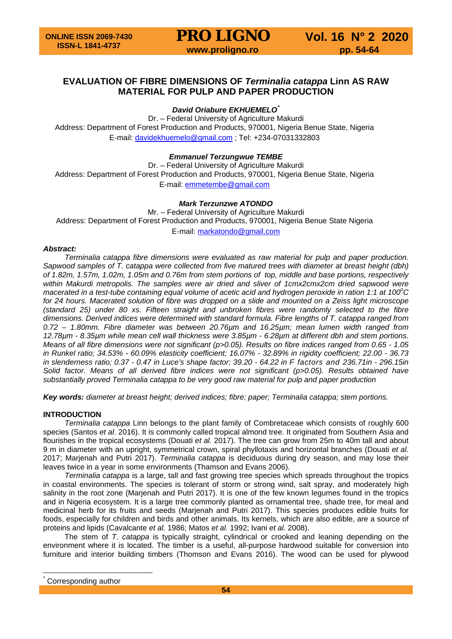# **EVALUATION OF FIBRE DIMENSIONS OF** *Terminalia catappa* **Linn AS RAW MATERIAL FOR PULP AND PAPER PRODUCTION**

# *David Oriabure EKHUEMELO[\\*](#page-0-0)*

Dr. – Federal University of Agriculture Makurdi Address: Department of Forest Production and Products, 970001, Nigeria Benue State, Nigeria E-mail: [davidekhuemelo@gmail.com](mailto:davidekhuemelo@gmail.com) ; Tel: *+*234-07031332803

# *Emmanuel Terzungwue TEMBE*

Dr. – Federal University of Agriculture Makurdi Address: Department of Forest Production and Products, 970001, Nigeria Benue State, Nigeria E-mail: [emmetembe@gmail.com](mailto:emmetembe@gmail.com)

# *Mark Terzunzwe ATONDO*

Mr. – Federal University of Agriculture Makurdi Address: Department of Forest Production and Products, 970001, Nigeria Benue State Nigeria E-mail: [markatondo@gmail.com](mailto:markatondo@gmail.com)

### *Abstract:*

*Terminalia catappa fibre dimensions were evaluated as raw material for pulp and paper production. Sapwood samples of T. catappa were collected from five matured trees with diameter at breast height (dbh) of 1.82m, 1.57m, 1.02m, 1.05m and 0.76m from stem portions of top, middle and base portions, respectively within Makurdi metropolis. The samples were air dried and sliver of 1cmx2cmx2cm dried sapwood were*  macerated in a test-tube containing equal volume of acetic acid and hydrogen peroxide in ration 1:1 at 100°C *for 24 hours. Macerated solution of fibre was dropped on a slide and mounted on a Zeiss light microscope (standard 25) under 80 xs. Fifteen straight and unbroken fibres were randomly selected to the fibre dimensions. Derived indices were determined with standard formula. Fibre lengths of T. catappa ranged from 0.72 – 1.80mm. Fibre diameter was between 20.76µm and 16.25µm; mean lumen width ranged from 12.78µm - 8.35µm while mean cell wall thickness were 3.85µm - 6.28µm at different dbh and stem portions. Means of all fibre dimensions were not significant (p>0.05). Results on fibre indices ranged from 0.65 - 1.05 in Runkel ratio; 34.53% - 60.09% elasticity coefficient; 16.07% - 32.89% in rigidity coefficient; 22.00 - 36.73 in slenderness ratio; 0.37 - 0.47 in Luce's shape factor; 39.20 - 64.22 in F factors and 236.71in - 296.15in Solid factor. Means of all derived fibre indices were not significant (p>0.05). Results obtained have substantially proved Terminalia catappa to be very good raw material for pulp and paper production*

*Key words: diameter at breast height; derived indices; fibre; paper; Terminalia catappa; stem portions.*

# **INTRODUCTION**

*Terminalia catappa* Linn belongs to the plant family of Combretaceae which consists of roughly 600 species (Santos *et al*. 2016). It is commonly called tropical almond tree. It originated from Southern Asia and flourishes in the tropical ecosystems (Douati *et al.* 2017). The tree can grow from 25m to 40m tall and about 9 m in diameter with an upright, symmetrical crown, spiral phyllotaxis and horizontal branches (Douati *et al.* 2017; Marjenah and Putri 2017). *Terminalia catappa* is deciduous during dry season, and may lose their leaves twice in a year in some environments (Thamson and Evans 2006).

*Terminalia catappa* is a large, tall and fast growing tree species which spreads throughout the tropics in coastal environments. The species is tolerant of storm or strong wind, salt spray, and moderately high salinity in the root zone (Marjenah and Putri 2017). It is one of the few known legumes found in the tropics and in Nigeria ecosystem. It is a large tree commonly planted as ornamental tree, shade tree, for meal and medicinal herb for its fruits and seeds (Marjenah and Putri 2017). This species produces edible fruits for foods, especially for children and birds and other animals. Its kernels, which are also edible, are a source of proteins and lipids (Cavalcante *et al.* 1986; Matos *et al.* 1992; Ivani *et al.* 2008).

The stem of *T. catappa* is typically straight, cylindrical or crooked and leaning depending on the environment where it is located. The timber is a useful, all-purpose hardwood suitable for conversion into furniture and interior building timbers (Thomson and Evans 2016). The wood can be used for plywood

<span id="page-0-0"></span>Corresponding author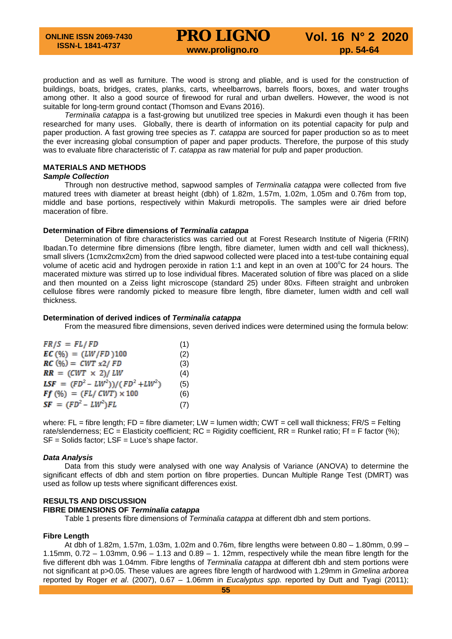production and as well as furniture. The wood is strong and pliable, and is used for the construction of buildings, boats, bridges, crates, planks, carts, wheelbarrows, barrels floors, boxes, and water troughs among other. It also a good source of firewood for rural and urban dwellers. However, the wood is not suitable for long-term ground contact (Thomson and Evans 2016).

*Terminalia catappa* is a fast-growing but unutilized tree species in Makurdi even though it has been researched for many uses. Globally, there is dearth of information on its potential capacity for pulp and paper production. A fast growing tree species as *T. catappa* are sourced for paper production so as to meet the ever increasing global consumption of paper and paper products. Therefore, the purpose of this study was to evaluate fibre characteristic of *T. catappa* as raw material for pulp and paper production.

#### **MATERIALS AND METHODS**

#### *Sample Collection*

Through non destructive method, sapwood samples of *Terminalia catappa* were collected from five matured trees with diameter at breast height (dbh) of 1.82m, 1.57m, 1.02m, 1.05m and 0.76m from top, middle and base portions, respectively within Makurdi metropolis. The samples were air dried before maceration of fibre.

#### **Determination of Fibre dimensions of** *Terminalia catappa*

Determination of fibre characteristics was carried out at Forest Research Institute of Nigeria (FRIN) Ibadan.To determine fibre dimensions (fibre length, fibre diameter, lumen width and cell wall thickness), small slivers (1cmx2cmx2cm) from the dried sapwood collected were placed into a test-tube containing equal volume of acetic acid and hydrogen peroxide in ration 1:1 and kept in an oven at 100°C for 24 hours. The macerated mixture was stirred up to lose individual fibres. Macerated solution of fibre was placed on a slide and then mounted on a Zeiss light microscope (standard 25) under 80xs. Fifteen straight and unbroken cellulose fibres were randomly picked to measure fibre length, fibre diameter, lumen width and cell wall thickness.

#### **Determination of derived indices of** *Terminalia catappa*

From the measured fibre dimensions, seven derived indices were determined using the formula below:

| $FR/S = FL/FD$                      | (1) |
|-------------------------------------|-----|
| $EC(%) = (LW/FD)100$                | (2) |
| $RC(\%) = CWT x2/ FD$               | (3) |
| $RR = (CWT \times 2)/LW$            | (4) |
| LSF = $(FD^2 - LW^2)/(FD^2 + LW^2)$ | (5) |
| $Ff(%) = (FL / CWT) \times 100$     | (6) |
| $SF = (FD^2 - LW^2)FL$              | (7) |

where:  $FL =$  fibre length;  $FD =$  fibre diameter;  $LW =$  lumen width;  $CWT =$  cell wall thickness;  $FR/S =$  Felting rate/slenderness;  $EC =$  Elasticity coefficient;  $RC =$  Rigidity coefficient,  $RR =$  Runkel ratio;  $Ff = F$  factor (%); SF = Solids factor; LSF = Luce's shape factor.

#### *Data Analysis*

Data from this study were analysed with one way Analysis of Variance (ANOVA) to determine the significant effects of dbh and stem portion on fibre properties. Duncan Multiple Range Test (DMRT) was used as follow up tests where significant differences exist.

#### **RESULTS AND DISCUSSION**

### **FIBRE DIMENSIONS OF** *Terminalia catappa*

Table 1 presents fibre dimensions of *Terminalia catappa* at different dbh and stem portions.

#### **Fibre Length**

At dbh of 1.82m, 1.57m, 1.03m, 1.02m and 0.76m, fibre lengths were between 0.80 – 1.80mm, 0.99 – 1.15mm,  $0.72 - 1.03$ mm,  $0.96 - 1.13$  and  $0.89 - 1.12$ mm, respectively while the mean fibre length for the five different dbh was 1.04mm. Fibre lengths of *Terminalia catappa* at different dbh and stem portions were not significant at p>0.05. These values are agrees fibre length of hardwood with 1.29mm in *Gmelina arborea*  reported by Roger *et al*. (2007), 0.67 – 1.06mm in *Eucalyptus spp.* reported by Dutt and Tyagi (2011);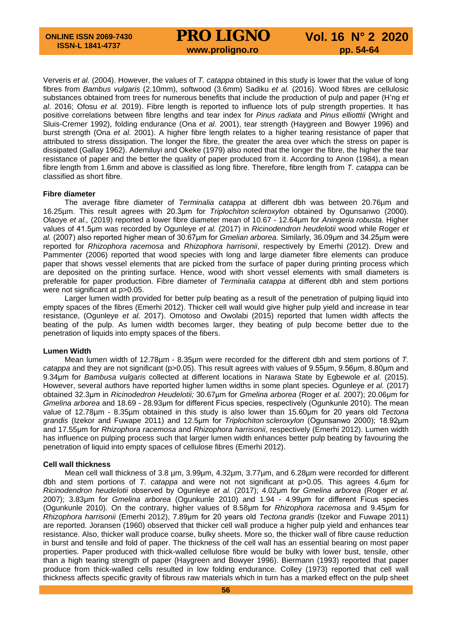# **PRO LIGNO** Vol. 16 N° 2 2020<br>www.proligno.ro pp. 54-64

Ververis *et al.* (2004). However, the values of *T. catappa* obtained in this study is lower that the value of long fibres from *Bambus vulgaris* (2.10mm), softwood (3.6mm) Sadiku *et al.* (2016). Wood fibres are cellulosic substances obtained from trees for numerous benefits that include the production of pulp and paper (H'ng *et al*. 2016; Ofosu *et al.* 2019). Fibre length is reported to influence lots of pulp strength properties. It has positive correlations between fibre lengths and tear index for *Pinus radiata* and *Pinus elliotttii* (Wright and Sluis-Cremer 1992), folding endurance (Ona *et al*. 2001), tear strength (Haygreen and Bowyer 1996) and burst strength (Ona *et al.* 2001). A higher fibre length relates to a higher tearing resistance of paper that attributed to stress dissipation. The longer the fibre, the greater the area over which the stress on paper is dissipated (Gallay 1962). Ademiluyi and Okeke (1979) also noted that the longer the fibre, the higher the tear resistance of paper and the better the quality of paper produced from it. According to Anon (1984), a mean fibre length from 1.6mm and above is classified as long fibre. Therefore, fibre length from *T. catappa* can be classified as short fibre.

#### **Fibre diameter**

The average fibre diameter of *Terminalia catappa* at different dbh was between 20.76µm and 16.25µm. This result agrees with 20.3μm for *Triplochiton scleroxylon* obtained by Ogunsanwo (2000). Olaoye *et al.,* (2019) reported a lower fibre diameter mean of 10.67 - 12.64µm for *Aningeria robusta.* Higher values of 41.5μm was recorded by Ogunleye *et al.* (2017) in *Ricinodendron heudelotii* wood while Roger *et al.* (2007) also reported higher mean of 30.67μm for *Gmelian arborea.* Similarly, 36.09μm and 34.25μm were reported for *Rhizophora racemosa* and *Rhizophora harrisonii*, respectively by Emerhi (2012). Drew and Pammenter (2006) reported that wood species with long and large diameter fibre elements can produce paper that shows vessel elements that are picked from the surface of paper during printing process which are deposited on the printing surface. Hence, wood with short vessel elements with small diameters is preferable for paper production. Fibre diameter of *Terminalia catappa* at different dbh and stem portions were not significant at p>0.05.

Larger lumen width provided for better pulp beating as a result of the penetration of pulping liquid into empty spaces of the fibres (Emerhi 2012). Thicker cell wall would give higher pulp yield and increase in tear resistance, (Ogunleye *et al.* 2017). Omotoso and Owolabi (2015) reported that lumen width affects the beating of the pulp. As lumen width becomes larger, they beating of pulp become better due to the penetration of liquids into empty spaces of the fibers.

#### **Lumen Width**

Mean lumen width of 12.78µm - 8.35µm were recorded for the different dbh and stem portions of *T. catappa* and they are not significant (p>0.05). This result agrees with values of 9.55μm, 9.56μm, 8.80μm and 9.34μm for *Bambusa vulgaris* collected at different locations in Narawa State by Egbewole *et al.* (2015). However, several authors have reported higher lumen widths in some plant species. Ogunleye *et al.* (2017) obtained 32.3μm in *Ricinodedron Heudelotii;* 30.67μm for *Gmelina arborea* (Roger *et al.* 2007); 20.06μm for *Gmelina arborea* and 18.69 - 28.93μm for different Ficus species, respectively (Ogunkunle 2010). The mean value of 12.78µm - 8.35µm obtained in this study is also lower than 15.60μm for 20 years old *Tectona grandis* (Izekor and Fuwape 2011) and 12.5μm for *Triplochiton scleroxylon* (Ogunsanwo 2000); 18.92μm and 17.55μm for *Rhizophora racemosa* and *Rhizophora harrisonii*, respectively (Emerhi 2012). Lumen width has influence on pulping process such that larger lumen width enhances better pulp beating by favouring the penetration of liquid into empty spaces of cellulose fibres (Emerhi 2012).

#### **Cell wall thickness**

Mean cell wall thickness of 3.8 µm, 3.99µm, 4.32µm, 3.77µm, and 6.28µm were recorded for different dbh and stem portions of *T. catappa* and were not not significant at p>0.05. This agrees 4.6μm for *Ricinodendron heudelotii* observed by Ogunleye *et al.* (2017); 4.02μm for *Gmelina arborea* (Roger *et al.*  2007); 3.83μm for *Gmelina arborea* (Ogunkunle 2010) and 1.94 - 4.99μm for different Ficus species (Ogunkunle 2010). On the contrary, higher values of 8.58μm for *Rhizophora racemosa* and 9.45μm for *Rhizophora harrisonii* (Emerhi 2012), 7.89μm for 20 years old *Tectona grandis* (Izekor and Fuwape 2011) are reported. Joransen (1960) observed that thicker cell wall produce a higher pulp yield and enhances tear resistance. Also, thicker wall produce coarse, bulky sheets. More so, the thicker wall of fibre cause reduction in burst and tensile and fold of paper. The thickness of the cell wall has an essential bearing on most paper properties. Paper produced with thick-walled cellulose fibre would be bulky with lower bust, tensile, other than a high tearing strength of paper (Haygreen and Bowyer 1996). Biermann (1993) reported that paper produce from thick-walled cells resulted in low folding endurance. Colley (1973) reported that cell wall thickness affects specific gravity of fibrous raw materials which in turn has a marked effect on the pulp sheet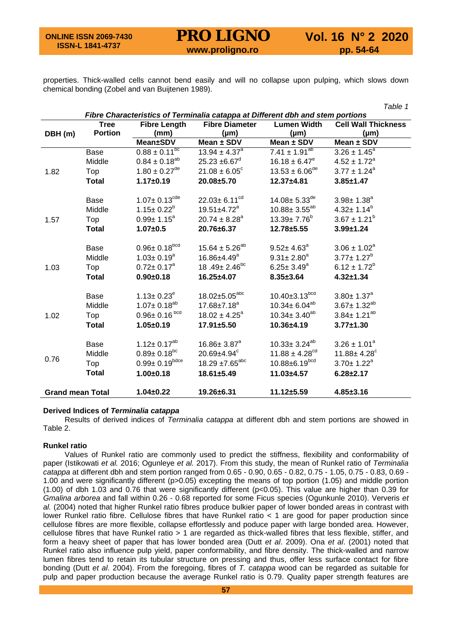# **PRO LIGNO** Vol. 16 N° 2 2020<br>www.proligno.ro pp. 54-64

*Table 1*

properties. Thick-walled cells cannot bend easily and will no collapse upon pulping, which slows down chemical bonding (Zobel and van Buijtenen 1989).

| Fibre Characteristics of Terminalia catappa at Different dbh and stem portions |                     |                                            |                                                 |                                                 |                                                      |
|--------------------------------------------------------------------------------|---------------------|--------------------------------------------|-------------------------------------------------|-------------------------------------------------|------------------------------------------------------|
|                                                                                | <b>Tree</b>         | <b>Fibre Length</b>                        | <b>Fibre Diameter</b>                           | <b>Lumen Width</b>                              | <b>Cell Wall Thickness</b>                           |
| DBH (m)                                                                        | <b>Portion</b>      | (mm)                                       | $(\mu m)$                                       | $(\mu m)$                                       | $(\mu m)$                                            |
|                                                                                |                     | <b>Mean±SDV</b>                            | Mean ± SDV                                      | Mean $\pm$ SDV                                  | Mean ± SDV                                           |
|                                                                                | Base                | $0.88 \pm 0.11^{bc}$                       | $13.94 \pm 4.37$ <sup>a</sup>                   | $7.41 \pm 1.91^{ab}$                            | $3.26 \pm 1.45^a$                                    |
|                                                                                | Middle              | $0.84 \pm 0.18^{ab}$                       | $25.23 + 6.67$ <sup>d</sup>                     | $16.18 \pm 6.47^e$                              | $4.52 \pm 1.72^a$                                    |
| 1.82                                                                           | Top                 | $1.80 \pm 0.27$ <sup>de</sup>              | $21.08 \pm 6.05^{\circ}$                        | $13.53 \pm 6.06^{\text{de}}$                    | $3.77 \pm 1.24^a$                                    |
|                                                                                | <b>Total</b>        | $1.17 \pm 0.19$                            | 20.08±5.70                                      | 12.37±4.81                                      | $3.85 \pm 1.47$                                      |
|                                                                                | Base                | $1.07 \pm 0.13^{\text{cde}}$               | $22.03 \pm 6.11^{cd}$                           | $14.08 \pm 5.33^{de}$                           | $3.98 \pm 1.38^a$                                    |
|                                                                                | Middle              | $1.15 \pm 0.22^b$                          | $19.51 \pm 4.72$ <sup>a</sup>                   | $10.88 \pm 3.55^{ab}$                           | $4.32 \pm 1.14^b$                                    |
| 1.57                                                                           | Top                 | $0.99 \pm 1.15^a$                          | $20.74 \pm 8.28$ <sup>a</sup>                   | $13.39 \pm 7.76^{\circ}$                        | $3.67 \pm 1.21^b$                                    |
|                                                                                | <b>Total</b>        | $1.07 + 0.5$                               | 20.76±6.37                                      | $12.78 \pm 5.55$                                | $3.99 \pm 1.24$                                      |
|                                                                                | Base<br>Middle      | $0.96 \pm 0.18^{bcd}$<br>$1.03 \pm 0.19^a$ | $15.64 \pm 5.26^{ab}$<br>$16.86{\pm}4.49^a$     | $9.52 \pm 4.63^{\circ}$<br>$9.31 \pm 2.80^a$    | $3.06 \pm 1.02^a$<br>$3.77 \pm 1.27^b$               |
| 1.03                                                                           | Top                 | $0.72 \pm 0.17^a$                          | 18.49 $\pm$ 2.46 <sup>bc</sup>                  | $6.25 \pm 3.49^a$                               | $6.12 \pm 1.72^b$                                    |
|                                                                                | <b>Total</b>        | $0.90 + 0.18$                              | 16.25±4.07                                      | $8.35 \pm 3.64$                                 | $4.32 \pm 1.34$                                      |
|                                                                                | Base<br>Middle      | $1.13 \pm 0.23^e$<br>$1.07 \pm 0.18^{ab}$  | 18.02±5.05 <sup>abc</sup><br>$17.68 \pm 7.18^a$ | $10.40 \pm 3.13^{bcd}$<br>$10.34 \pm 6.04^{ab}$ | $3.80 \pm 1.37$ <sup>a</sup><br>$3.67 \pm 1.32^{ab}$ |
| 1.02                                                                           | Top<br><b>Total</b> | $0.96 \pm 0.16^{bcd}$<br>$1.05 \pm 0.19$   | $18.02 \pm 4.25^a$<br>17.91±5.50                | $10.34 \pm 3.40^{ab}$<br>$10.36 + 4.19$         | $3.84 \pm 1.21^{ab}$<br>$3.77 \pm 1.30$              |
|                                                                                |                     |                                            |                                                 |                                                 |                                                      |
|                                                                                | Base                | $1.12 \pm 0.17^{ab}$                       | $16.86 \pm 3.87^a$                              | $10.33 \pm 3.24^{ab}$                           | $3.26 \pm 1.01^a$                                    |
| 0.76                                                                           | Middle              | $0.89 \pm 0.18^{bc}$                       | $20.69 \pm 4.94$ <sup>c</sup>                   | 11.88 $\pm$ 4.28 <sup>cd</sup>                  | $11.88 \pm 4.28$ <sup>c</sup>                        |
|                                                                                | Top                 | $0.99 \pm 0.19^{bdce}$                     | $18.29 \pm 7.65$ <sup>abc</sup>                 | $10.88 \pm 6.19$ <sub>bcd</sub>                 | $3.70 \pm 1.22^a$                                    |
|                                                                                | <b>Total</b>        | $1.00 + 0.18$                              | $18.61 \pm 5.49$                                | $11.03 + 4.57$                                  | $6.28 \pm 2.17$                                      |
| <b>Grand mean Total</b>                                                        |                     | $1.04 \pm 0.22$                            | 19.26±6.31                                      | $11.12 + 5.59$                                  | $4.85 \pm 3.16$                                      |

#### **Derived Indices of** *Terminalia catappa*

Results of derived indices of *Terminalia catappa* at different dbh and stem portions are showed in Table 2.

#### **Runkel ratio**

Values of Runkel ratio are commonly used to predict the stiffness, flexibility and conformability of paper (Istikowati *et al.* 2016; Ogunleye *et al.* 2017). From this study, the mean of Runkel ratio of *Terminalia catappa* at different dbh and stem portion ranged from 0.65 - 0.90, 0.65 - 0.82, 0.75 - 1.05, 0.75 - 0.83, 0.69 - 1.00 and were significantly different (p>0.05) excepting the means of top portion (1.05) and middle portion (1.00) of dbh 1.03 and 0.76 that were significantly different (p<0.05). This value are higher than 0.39 for *Gmalina arborea* and fall within 0.26 - 0.68 reported for some Ficus species (Ogunkunle 2010). Ververis *et al.* (2004) noted that higher Runkel ratio fibres produce bulkier paper of lower bonded areas in contrast with lower Runkel ratio fibre. Cellulose fibres that have Runkel ratio < 1 are good for paper production since cellulose fibres are more flexible, collapse effortlessly and poduce paper with large bonded area. However, cellulose fibres that have Runkel ratio > 1 are regarded as thick-walled fibres that less flexible, stiffer, and form a heavy sheet of paper that has lower bonded area (Dutt *et al*. 2009). Ona *et al*. (2001) noted that Runkel ratio also influence pulp yield, paper conformability, and fibre density. The thick-walled and narrow lumen fibres tend to retain its tubular structure on pressing and thus, offer less surface contact for fibre bonding (Dutt *et al*. 2004). From the foregoing, fibres of *T. catappa* wood can be regarded as suitable for pulp and paper production because the average Runkel ratio is 0.79. Quality paper strength features are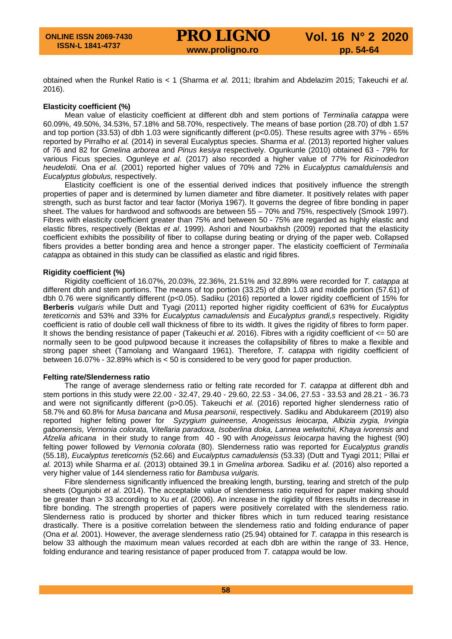obtained when the Runkel Ratio is < 1 (Sharma *et al.* 2011; Ibrahim and Abdelazim 2015; Takeuchi *et al.* 2016).

#### **Elasticity coefficient (%)**

Mean value of elasticity coefficient at different dbh and stem portions of *Terminalia catappa* were 60.09%, 49.50%, 34.53%, 57.18% and 58.70%, respectively. The means of base portion (28.70) of dbh 1.57 and top portion (33.53) of dbh 1.03 were significantly different (p<0.05). These results agree with 37% - 65% reported by Pirralho *et al.* (2014) in several Eucalyptus species. Sharma *et al*. (2013) reported higher values of 76 and 82 for *Gmelina arborea* and *Pinus kesiya* respectively. Ogunkunle (2010) obtained 63 - 79% for various Ficus species. Ogunleye *et al.* (2017) also recorded a higher value of 77% for *Ricinodedron heudelotii.* Ona *et al.* (2001) reported higher values of 70% and 72% in *Eucalyptus camaldulensis* and *Eucalyptus globulus,* respectively.

Elasticity coefficient is one of the essential derived indices that positively influence the strength properties of paper and is determined by lumen diameter and fibre diameter. It positively relates with paper strength, such as burst factor and tear factor (Moriya 1967). It governs the degree of fibre bonding in paper sheet. The values for hardwood and softwoods are between 55 – 70% and 75%, respectively (Smook 1997). Fibres with elasticity coefficient greater than 75% and between 50 - 75% are regarded as highly elastic and elastic fibres, respectively (Bektas *et al*. 1999). Ashori and Nourbakhsh (2009) reported that the elasticity coefficient exhibits the possibility of fiber to collapse during beating or drying of the paper web. Collapsed fibers provides a better bonding area and hence a stronger paper. The elasticity coefficient of *Terminalia catappa* as obtained in this study can be classified as elastic and rigid fibres.

#### **Rigidity coefficient (%)**

Rigidity coefficient of 16.07%, 20.03%, 22.36%, 21.51% and 32.89% were recorded for *T. catappa* at different dbh and stem portions. The means of top portion (33.25) of dbh 1.03 and middle portion (57.61) of dbh 0.76 were significantly different (p<0.05). Sadiku (2016) reported a lower rigidity coefficient of 15% for **Berberis** *vulgaris* while Dutt and Tyagi (2011) reported higher rigidity coefficient of 63% for *Eucalyptus tereticornis* and 53% and 33% for *Eucalyptus camadulensis* and *Eucalyptus grandi,s* respectively. Rigidity coefficient is ratio of double cell wall thickness of fibre to its width. It gives the rigidity of fibres to form paper. It shows the bending resistance of paper (Takeuchi *et al.* 2016). Fibres with a rigidity coefficient of <= 50 are normally seen to be good pulpwood because it increases the collapsibility of fibres to make a flexible and strong paper sheet (Tamolang and Wangaard 1961). Therefore, *T. catappa* with rigidity coefficient of between 16.07% - 32.89% which is < 50 is considered to be very good for paper production.

#### **Felting rate/Slenderness ratio**

The range of average slenderness ratio or felting rate recorded for *T. catappa* at different dbh and stem portions in this study were 22.00 - 32.47, 29.40 - 29.60, 22.53 - 34.06, 27.53 - 33.53 and 28.21 - 36.73 and were not significantly different (p>0.05). Takeuchi *et al.* (2016) reported higher slenderness ratio of 58.7% and 60.8% for *Musa bancana* and *Musa pearsonii*, respectively. Sadiku and Abdukareem (2019) also reported higher felting power for *Syzygium guineense, Anogeissus leiocarpa, Albizia zygia, Irvingia gabonensis, Vernonia colorata, Vitellaria paradoxa, Isoberlina doka, Lannea welwitchii, Khaya ivorensis* and *Afzelia africana* in their study to range from 40 - 90 with *Anogeissus leiocarpa* having the highest (90) felting power followed by *Vernonia colorata* (80). Slenderness ratio was reported for *Eucalyptus grandis* (55.18), *Eucalyptus tereticornis* (52.66) and *Eucalyptus camadulensis* (53.33) (Dutt and Tyagi 2011; Pillai *et al.* 2013) while Sharma *et al.* (2013) obtained 39.1 in *Gmelina arborea.* Sadiku *et al.* (2016) also reported a very higher value of 144 slenderness ratio for *Bambusa vulgaris.*

Fibre slenderness significantly influenced the breaking length, bursting, tearing and stretch of the pulp sheets (Ogunjobi *et al*. 2014). The acceptable value of slenderness ratio required for paper making should be greater than > 33 according to Xu *et al*. (2006). An increase in the rigidity of fibres results in decrease in fibre bonding. The strength properties of papers were positively correlated with the slenderness ratio. Slenderness ratio is produced by shorter and thicker fibres which in turn reduced tearing resistance drastically. There is a positive correlation between the slenderness ratio and folding endurance of paper (Ona *et al.* 2001). However, the average slenderness ratio (25.94) obtained for *T. catappa* in this research is below 33 although the maximum mean values recorded at each dbh are within the range of 33. Hence, folding endurance and tearing resistance of paper produced from *T. catappa* would be low.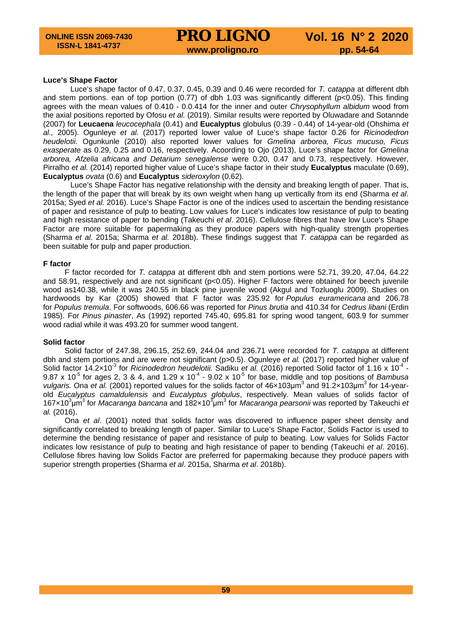#### **Luce's Shape Factor**

Luce's shape factor of 0.47, 0.37, 0.45, 0.39 and 0.46 were recorded for *T. catappa* at different dbh and stem portions, ean of top portion (0.77) of dbh 1.03 was significantly different (p<0.05). This finding agrees with the mean values of 0.410 - 0.0.414 for the inner and outer *Chrysophyllum albidum* wood from the axial positions reported by Ofosu *et al.* (2019). Similar results were reported by Oluwadare and Sotannde (2007) for **Leucaena** *leucocephala* (0.41) and **Eucalyptus** globulus (0.39 - 0.44) of 14-year-old (Ohshima *et al.,* 2005). Ogunleye *et al.* (2017) reported lower value of Luce's shape factor 0.26 for *Ricinodedron heudelotii.* Ogunkunle (2010) also reported lower values for *Gmelina arborea, Ficus mucuso, Ficus exasperate* as 0.29, 0.25 and 0.16, respectively. Acoording to Ojo (2013), Luce's shape factor for *Gmelina arborea, Afzelia africana and Detarium senegalense* were 0.20, 0.47 and 0.73, respectively. However, Pirralho *et al.* (2014) reported higher value of Luce's shape factor in their study **Eucalyptus** maculate (0.69), **Eucalyptus** *ovata* (0.6) and **Eucalyptus** *sideroxylon* (0.62).

Luce's Shape Factor has negative relationship with the density and breaking length of paper. That is, the length of the paper that will break by its own weight when hang up vertically from its end (Sharma *et al*. 2015a; Syed *et al.* 2016). Luce's Shape Factor is one of the indices used to ascertain the bending resistance of paper and resistance of pulp to beating. Low values for Luce's indicates low resistance of pulp to beating and high resistance of paper to bending (Takeuchi *et al*. 2016). Cellulose fibres that have low Luce's Shape Factor are more suitable for papermaking as they produce papers with high-quality strength properties (Sharma *et al.* 2015a; Sharma *et al.* 2018b). These findings suggest that *T. catappa* can be regarded as been suitable for pulp and paper production.

#### **F factor**

F factor recorded for *T. catappa* at different dbh and stem portions were 52.71, 39.20, 47.04, 64.22 and 58.91, respectively and are not significant (p<0.05). Higher F factors were obtained for beech juvenile wood as140.38, while it was 240.55 in black pine juvenile wood (Akgul and Tozluoglu 2009). Studies on hardwoods by Kar (2005) showed that F factor was 235.92 for *Populus euramericana* and 206.78 for *Populus tremula*. For softwoods, 606.66 was reported for *Pinus brutia* and 410.34 for *Cedrus libani* (Erdin 1985). For *Pinus pinaster*, As (1992) reported 745.40, 695.81 for spring wood tangent, 603.9 for summer wood radial while it was 493.20 for summer wood tangent.

#### **Solid factor**

Solid factor of 247.38, 296.15, 252.69, 244.04 and 236.71 were recorded for *T. catappa* at different dbh and stem portions and are were not significant (p>0.5). Ogunleye *et al.* (2017) reported higher value of Solid factor 14.2×10<sup>-3</sup> for *Ricinodedron heudelotii.* Sadiku *et al.* (2016) reported Solid factor of 1.16 x 10<sup>-4</sup> -9.87 x 10<sup>-5</sup> for ages 2, 3 & 4, and 1.29 x 10<sup>-4</sup> - 9.02 x 10<sup>-5</sup> for base, middle and top positions of *Bambusa vulgaris.* Ona *et al.* (2001) reported values for the solids factor of 46×103μm<sup>3</sup> and 91.2×103μm<sup>3</sup> for 14-yearold *Eucalyptus camaldulensis* and *Eucalyptus globulus*, respectively. Mean values of solids factor of 167×10<sup>3</sup>μm<sup>3</sup> for *Macaranga bancana* and 182×10<sup>3</sup>μm<sup>3</sup> for *Macaranga pearsonii* was reported by Takeuchi *et al.* (2016).

Ona *et al*. (2001) noted that solids factor was discovered to influence paper sheet density and significantly correlated to breaking length of paper. Similar to Luce's Shape Factor, Solids Factor is used to determine the bending resistance of paper and resistance of pulp to beating. Low values for Solids Factor indicates low resistance of pulp to beating and high resistance of paper to bending (Takeuchi *et al*. 2016). Cellulose fibres having low Solids Factor are preferred for papermaking because they produce papers with superior strength properties (Sharma *et al*. 2015a, Sharma *et al*. 2018b).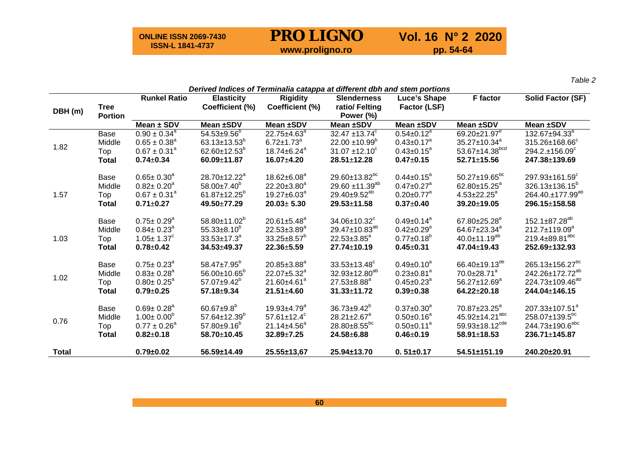**ONLINE ISSN 2069-7430 ISSN-L 1841-4737**

# **PRO LIGNO** Vol. 16 N° 2 2020<br>www.proligno.ro pp. 54-64

*Table 2*

|              |                | <b>Runkel Ratio</b>          | Derived Indices of Terminalia catappa at different dbh and stem portions<br><b>Elasticity</b> | <b>Rigidity</b>                | <b>Slenderness</b>              |                                | <b>F</b> factor                 | <b>Solid Factor (SF)</b>         |
|--------------|----------------|------------------------------|-----------------------------------------------------------------------------------------------|--------------------------------|---------------------------------|--------------------------------|---------------------------------|----------------------------------|
|              | <b>Tree</b>    |                              | Coefficient (%)                                                                               | Coefficient (%)                | ratio/ Felting                  | Luce's Shape<br>Factor (LSF)   |                                 |                                  |
| DBH (m)      | <b>Portion</b> |                              |                                                                                               |                                | Power (%)                       |                                |                                 |                                  |
|              |                | Mean $\pm$ SDV               | Mean ±SDV                                                                                     | Mean ±SDV                      | Mean ±SDV                       | Mean ±SDV                      | Mean ±SDV                       | Mean ±SDV                        |
|              | Base           | $0.90 \pm 0.34^{\circ}$      | $54.53 \pm 9.56^{\circ}$                                                                      | $22.75 \pm 4.63$ <sup>a</sup>  | 32.47 $\pm$ 13.74 $\textdegree$ | $0.54 \pm 0.12^{\overline{a}}$ | 69.20±21.97 <sup>e</sup>        | $132.67 \pm 94.33^{\circ}$       |
|              | Middle         | $0.65 \pm 0.38^a$            | 63.13 $\pm$ 13.53 <sup>b</sup>                                                                | $6.72 \pm 1.73^a$              | $22.00 \pm 10.99^b$             | $0.43 \pm 0.17$ <sup>a</sup>   | $35.27 \pm 10.34$ <sup>a</sup>  | 315.26±168.66 <sup>c</sup>       |
| 1.82         | Top            | $0.67 \pm 0.31^a$            | 62.60 $\pm$ 12.53 <sup>b</sup>                                                                | $18.74 \pm 6.24$ <sup>a</sup>  | $31.07 + 12.10^{\circ}$         | $0.43 \pm 0.15^a$              | $53.67 \pm 14.38^{bcd}$         | $294.2. \pm 156.09$ <sup>c</sup> |
|              | <b>Total</b>   | $0.74 \pm 0.34$              | 60.09±11.87                                                                                   | $16.07 \pm 4.20$               | $28.51 \pm 12.28$               | $0.47 + 0.15$                  | $52.71 \pm 15.56$               | 247.38±139.69                    |
|              | Base           | $0.65 \pm 0.30^a$            | $28.70 \pm 12.22$ <sup>a</sup>                                                                | $18.62 \pm 6.08^a$             | $29.60 \pm 13.82^{bc}$          | $0.44 \pm 0.15^a$              | $50.27 \pm 19.65^{bc}$          | 297.93±161.59 <sup>c</sup>       |
|              | Middle         | $0.82 \pm 0.20^a$            | $58.00 \pm 7.40^{\circ}$                                                                      | $22.20 \pm 3.80^a$             | 29.60 $\pm$ 11.39 <sup>ab</sup> | $0.47 \pm 0.27$ <sup>a</sup>   | 62.80 $\pm$ 15.25 <sup>a</sup>  | $326.13 \pm 136.15^{\circ}$      |
| 1.57         | Top            | $0.67 \pm 0.31^a$            | $61.87 \pm 12.25^b$                                                                           | $19.27 \pm 6.03^a$             | $29.40 \pm 9.52^{ab}$           | $0.20 \pm 0.77$ <sup>a</sup>   | $4.53 \pm 22.25^a$              | 264.40.±177.99 <sup>ab</sup>     |
|              | <b>Total</b>   | $0.71 \pm 0.27$              | $49.50 + 77.29$                                                                               | $20.03 \pm 5.30$               | $29.53 + 11.58$                 | $0.37 + 0.40$                  | 39.20±19.05                     | 296.15±158.58                    |
|              | Base           | $0.75 \pm 0.29^{\circ}$      | $58.80\pm11.02^b$                                                                             | $20.61 \pm 5.48^a$             | $34.06 \pm 10.32$               | $0.49 \pm 0.14$ <sup>a</sup>   | $67.80 \pm 25.28^e$             | $152.1 \pm 87.28^{ab}$           |
|              | Middle         | $0.84 \pm 0.23$ <sup>a</sup> | $55.33\pm8.10^{b}$                                                                            | $22.53 \pm 3.89^a$             | 29.47 $\pm$ 10.83 <sup>ab</sup> | $0.42 \pm 0.29$ <sup>a</sup>   | 64.67±23.34 <sup>a</sup>        | 212.7±119.09 <sup>a</sup>        |
| 1.03         | Top            | $1.05 \pm 1.37^c$            | $33.53 \pm 17.3^a$                                                                            | $33.25 \pm 8.57^b$             | $22.53 \pm 3.85^a$              | $0.77 \pm 0.18^b$              | $40.0 \pm 11.19^{ab}$           | 219.4±89.81 <sup>abc</sup>       |
|              | <b>Total</b>   | $0.78 + 0.42$                | $34.53 + 49.37$                                                                               | $22.36 \pm 5.59$               | $27.74 \pm 10.19$               | $0.45 + 0.31$                  | $47.04 \pm 19.43$               | $252.69 \pm 132.93$              |
|              | Base           | $0.75 \pm 0.23^{\circ}$      | $58.47 \pm 7.95^{\circ}$                                                                      | $20.85 \pm 3.88$ <sup>a</sup>  | $33.53 \pm 13.48^{\circ}$       | $0.49 \pm 0.10^a$              | 66.40 $\pm$ 19.13 <sup>de</sup> | 265.13±156.27 <sup>bc</sup>      |
|              | Middle         | $0.83 \pm 0.28$ <sup>a</sup> | $56.00 \pm 10.65^{\circ}$                                                                     | $22.07 \pm 5.32^a$             | $32.93 \pm 12.80^{ab}$          | $0.23 \pm 0.81$ <sup>a</sup>   | $70.0 \pm 28.71$ <sup>a</sup>   | 242.26±172.72 <sup>ab</sup>      |
| 1.02         | Top            | $0.80 \pm 0.25^{\text{a}}$   | $57.07 \pm 9.42^b$                                                                            | $21.60 \pm 4.61$ <sup>a</sup>  | $27.53 \pm 8.88$ <sup>a</sup>   | $0.45 \pm 0.23$ <sup>a</sup>   | $56.27 \pm 12.69^a$             | 224.73±109.46 <sup>ab</sup>      |
|              | <b>Total</b>   | $0.79 + 0.25$                | $57.18 \pm 9.34$                                                                              | $21.51 \pm 4.60$               | $31.33 \pm 11.72$               | $0.39 + 0.38$                  | $64.22 \pm 20.18$               | 244.04±146.15                    |
|              | Base           | $0.69 \pm 0.28$ <sup>a</sup> | $60.67 + 9.8^{b}$                                                                             | $19.93 + 4.79^a$               | $36.73 \pm 9.42^b$              | $0.37 \pm 0.30^a$              | 70.87±23.25 <sup>a</sup>        | 207.33±107.51 <sup>a</sup>       |
| 0.76         | Middle         | $1.00 \pm 0.00^{\circ}$      | $57.64 \pm 12.39^{\circ}$                                                                     | 57.61 $\pm$ 12.4 $\textdegree$ | $28.21 \pm 2.67$ <sup>a</sup>   | $0.50 \pm 0.16^a$              | 45.92±14.21 <sup>abc</sup>      | 258.07±139.5 <sup>bc</sup>       |
|              | Top            | $0.77 \pm 0.26^a$            | $57.80 + 9.16^b$                                                                              | $21.14 \pm 4.56^a$             | 28.80±8.55bc                    | $0.50 \pm 0.11^a$              | 59.93±18.12 <sup>cde</sup>      | 244.73±190.6 <sup>abc</sup>      |
|              | <b>Total</b>   | $0.82 \pm 0.18$              | 58.70±10.45                                                                                   | $32.89 \pm 7.25$               | $24.58 + 6.88$                  | $0.46 \pm 0.19$                | $58.91 \pm 18.53$               | $236.71 \pm 145.87$              |
| <b>Total</b> |                | $0.79 \pm 0.02$              | 56.59±14.49                                                                                   | $25.55 \pm 13.67$              | $25.94 \pm 13.70$               | $0.51 \pm 0.17$                | $54.51 \pm 151.19$              | 240.20±20.91                     |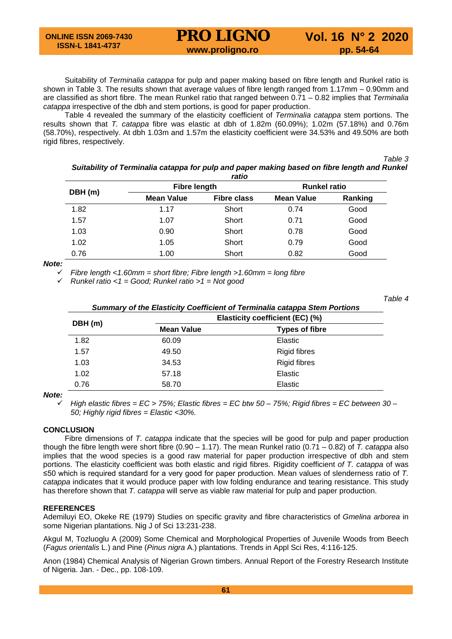Suitability of *Terminalia catappa* for pulp and paper making based on fibre length and Runkel ratio is shown in Table 3. The results shown that average values of fibre length ranged from 1.17mm – 0.90mm and are classified as short fibre. The mean Runkel ratio that ranged between 0.71 – 0.82 implies that *Terminalia catappa* irrespective of the dbh and stem portions, is good for paper production.

Table 4 revealed the summary of the elasticity coefficient of *Terminalia catappa* stem portions. The results shown that *T. catappa* fibre was elastic at dbh of 1.82m (60.09%); 1.02m (57.18%) and 0.76m (58.70%), respectively. At dbh 1.03m and 1.57m the elasticity coefficient were 34.53% and 49.50% are both rigid fibres, respectively.

*Table 3 Suitability of Terminalia catappa for pulp and paper making based on fibre length and Runkel* 

*Table 4*

|         |                     | ratio              |                     |         |  |
|---------|---------------------|--------------------|---------------------|---------|--|
|         | <b>Fibre length</b> |                    | <b>Runkel ratio</b> |         |  |
| DBH (m) | <b>Mean Value</b>   | <b>Fibre class</b> | <b>Mean Value</b>   | Ranking |  |
| 1.82    | 1.17                | Short              | 0.74                | Good    |  |
| 1.57    | 1.07                | Short              | 0.71                | Good    |  |
| 1.03    | 0.90                | Short              | 0.78                | Good    |  |
| 1.02    | 1.05                | Short              | 0.79                | Good    |  |
| 0.76    | 1.00                | Short              | 0.82                | Good    |  |

*Note:*

*Fibre length <1.60mm = short fibre; Fibre length >1.60mm = long fibre*

*Runkel ratio <1 = Good; Runkel ratio >1 = Not good*

*Summary of the Elasticity Coefficient of Terminalia catappa Stem Portions* **DBH (m) Elasticity coefficient (EC) (%)**<br>Mean Value **Types of fibr Types of fibre** 1.82 60.09 Elastic 1.57 And 49.50 Apr 2012 1.57 Apr 2013 1.57 Apr 2013 1.57 Apr 2013 1.57 Apr 2013 1.57 Apr 2014 1.57 Apr 2014 1.57 Apr 2014 1.57 Apr 2014 1.57 Apr 2015 1.57 Apr 2015 1.57 Apr 2015 1.57 Apr 2015 1.57 Apr 2015 1.57 Apr 2015 1. 1.03 34.53 Rigid fibres 1.02 57.18 Elastic 0.76 58.70 **Elastic** 

*Note:*

 *High elastic fibres = EC > 75%; Elastic fibres = EC btw 50 – 75%; Rigid fibres = EC between 30 – 50; Highly rigid fibres = Elastic <30%.*

# **CONCLUSION**

Fibre dimensions of *T. catappa* indicate that the species will be good for pulp and paper production though the fibre length were short fibre (0.90 – 1.17). The mean Runkel ratio (0.71 – 0.82) of *T. catappa* also implies that the wood species is a good raw material for paper production irrespective of dbh and stem portions. The elasticity coefficient was both elastic and rigid fibres. Rigidity coefficient *of T. catappa* of was ≤50 which is required standard for a very good for paper production. Mean values of slenderness ratio of *T. catappa* indicates that it would produce paper with low folding endurance and tearing resistance. This study has therefore shown that *T. catappa* will serve as viable raw material for pulp and paper production.

# **REFERENCES**

Ademiluyi EO, Okeke RE (1979) Studies on specific gravity and fibre characteristics of *Gmelina arborea* in some Nigerian plantations. Nig J of Sci 13:231-238.

Akgul M, Tozluoglu A (2009) Some Chemical and Morphological Properties of Juvenile Woods from Beech (*Fagus orientalis* L.) and Pine (*Pinus nigra* A.) plantations. Trends in Appl Sci Res, 4:116-125.

Anon (1984) Chemical Analysis of Nigerian Grown timbers. Annual Report of the Forestry Research Institute of Nigeria. Jan. - Dec., pp. 108-109.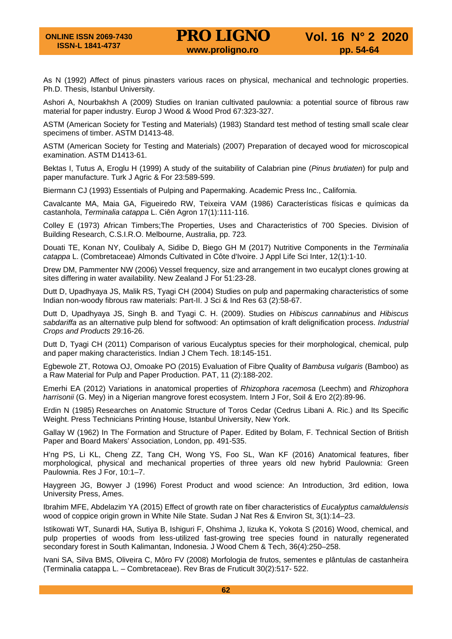As N (1992) Affect of pinus pinasters various races on physical, mechanical and technologic properties. Ph.D. Thesis, Istanbul University.

Ashori A, Nourbakhsh A (2009) Studies on Iranian cultivated paulownia: a potential source of fibrous raw material for paper industry. Europ J Wood & Wood Prod 67:323-327.

ASTM (American Society for Testing and Materials) (1983) Standard test method of testing small scale clear specimens of timber. ASTM D1413-48.

ASTM (American Society for Testing and Materials) (2007) Preparation of decayed wood for microscopical examination. ASTM D1413-61.

Bektas I, Tutus A, Eroglu H (1999) A study of the suitability of Calabrian pine (*Pinus brutiaten*) for pulp and paper manufacture. Turk J Agric & For 23:589-599.

Biermann CJ (1993) Essentials of Pulping and Papermaking. Academic Press Inc., California.

Cavalcante MA, Maia GA, Figueiredo RW, Teixeira VAM (1986) Características físicas e químicas da castanhola, *Terminalia catappa* L. Ciên Agron 17(1):111-116.

Colley E (1973) African Timbers;The Properties, Uses and Characteristics of 700 Species. Division of Building Research, C.S.I.R.O. Melbourne, Australia, pp. 723*.*

Douati TE, Konan NY, Coulibaly A, Sidibe D, Biego GH M (2017) Nutritive Components in the *Terminalia catappa* L. (Combretaceae) Almonds Cultivated in Côte d'Ivoire. J Appl Life Sci Inter, 12(1):1-10.

Drew DM, Pammenter NW (2006) Vessel frequency, size and arrangement in two eucalypt clones growing at sites differing in water availability. New Zealand J For 51:23-28.

Dutt D, Upadhyaya JS, Malik RS, Tyagi CH (2004) Studies on pulp and papermaking characteristics of some Indian non-woody fibrous raw materials: Part-II. J Sci & Ind Res 63 (2):58-67.

Dutt D, Upadhyaya JS, Singh B. and Tyagi C. H. (2009). Studies on *Hibiscus cannabinus* and *Hibiscus sabdariffa* as an alternative pulp blend for softwood: An optimsation of kraft delignification process. *Industrial Crops and Products* 29:16-26.

Dutt D, Tyagi CH (2011) Comparison of various Eucalyptus species for their morphological, chemical, pulp and paper making characteristics. Indian J Chem Tech. 18:145-151.

Egbewole ZT, Rotowa OJ, Omoake PO (2015) Evaluation of Fibre Quality of *Bambusa vulgaris* (Bamboo) as a Raw Material for Pulp and Paper Production. PAT, 11 (2):188-202.

Emerhi EA (2012) Variations in anatomical properties of *Rhizophora racemosa* (Leechm) and *Rhizophora harrisonii* (G. Mey) in a Nigerian mangrove forest ecosystem. Intern J For, Soil & Ero 2(2):89-96.

Erdin N (1985) Researches on Anatomic Structure of Toros Cedar (Cedrus Libani A. Ric.) and Its Specific Weight. Press Technicians Printing House, Istanbul University, New York.

Gallay W (1962) In The Formation and Structure of Paper. Edited by Bolam, F. Technical Section of British Paper and Board Makers' Association, London, pp. 491-535.

H'ng PS, Li KL, Cheng ZZ, Tang CH, Wong YS, Foo SL, Wan KF (2016) Anatomical features, fiber morphological, physical and mechanical properties of three years old new hybrid Paulownia: Green Paulownia. Res J For, 10:1–7.

Haygreen JG, Bowyer J (1996) Forest Product and wood science: An Introduction, 3rd edition, Iowa University Press, Ames.

Ibrahim MFE, Abdelazim YA (2015) Effect of growth rate on fiber characteristics of *Eucalyptus camaldulensis* wood of coppice origin grown in White Nile State. Sudan J Nat Res & Environ St, 3(1):14–23.

Istikowati WT, Sunardi HA, Sutiya B, Ishiguri F, Ohshima J, Iizuka K, Yokota S (2016) Wood, chemical, and pulp properties of woods from less-utilized fast-growing tree species found in naturally regenerated secondary forest in South Kalimantan, Indonesia. J Wood Chem & Tech, 36(4):250–258.

Ivani SA, Silva BMS, Oliveira C, Môro FV (2008) Morfologia de frutos, sementes e plântulas de castanheira (Terminalia catappa L. – Combretaceae). Rev Bras de Fruticult 30(2):517- 522.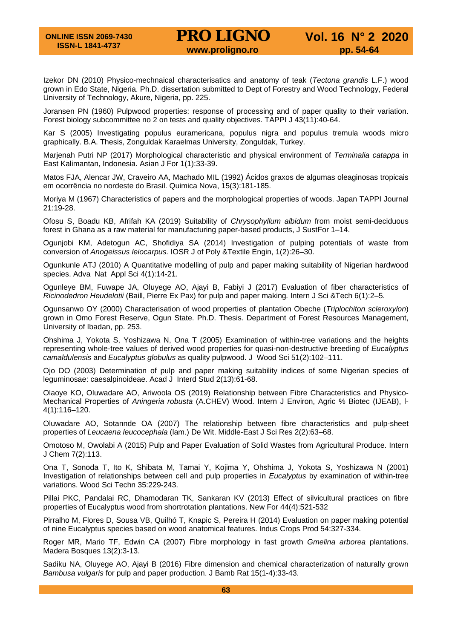Izekor DN (2010) Physico-mechnaical characterisatics and anatomy of teak (*Tectona grandis* L.F.) wood grown in Edo State, Nigeria. Ph.D. dissertation submitted to Dept of Forestry and Wood Technology, Federal University of Technology, Akure, Nigeria, pp. 225.

Joransen PN (1960) Pulpwood properties: response of processing and of paper quality to their variation. Forest biology subcommittee no 2 on tests and quality objectives. TAPPI J 43(11):40-64.

Kar S (2005) Investigating populus euramericana, populus nigra and populus tremula woods micro graphically. B.A. Thesis, Zonguldak Karaelmas University, Zonguldak, Turkey.

Marjenah Putri NP (2017) Morphological characteristic and physical environment of *Terminalia catappa* in East Kalimantan, Indonesia. Asian J For 1(1):33-39.

Matos FJA, Alencar JW, Craveiro AA, Machado MIL (1992) Ácidos graxos de algumas oleaginosas tropicais em ocorrência no nordeste do Brasil. Quimica Nova, 15(3):181-185.

Moriya M (1967) Characteristics of papers and the morphological properties of woods. Japan TAPPI Journal 21:19-28.

Ofosu S, Boadu KB, Afrifah KA (2019) Suitability of *Chrysophyllum albidum* from moist semi-deciduous forest in Ghana as a raw material for manufacturing paper-based products, J SustFor 1–14.

Ogunjobi KM, Adetogun AC, Shofidiya SA (2014) Investigation of pulping potentials of waste from conversion of *Anogeissus leiocarpus.* IOSR J of Poly &Textile Engin, 1(2):26–30.

Ogunkunle ATJ (2010) A Quantitative modelling of pulp and paper making suitability of Nigerian hardwood species. Adva Nat Appl Sci 4(1):14-21.

Ogunleye BM, Fuwape JA, Oluyege AO, Ajayi B, Fabiyi J (2017) Evaluation of fiber characteristics of *Ricinodedron Heudelotii* (Baill, Pierre Ex Pax) for pulp and paper making*.* Intern J Sci &Tech 6(1):2–5.

Ogunsanwo OY (2000) Characterisation of wood properties of plantation Obeche (*Triplochiton scleroxylon*) grown in Omo Forest Reserve, Ogun State. Ph.D. Thesis. Department of Forest Resources Management, University of Ibadan, pp. 253.

Ohshima J, Yokota S, Yoshizawa N, Ona T (2005) Examination of within-tree variations and the heights representing whole-tree values of derived wood properties for quasi-non-destructive breeding of *Eucalyptus camaldulensis* and *Eucalyptus globulus* as quality pulpwood. J Wood Sci 51(2):102–111.

Ojo DO (2003) Determination of pulp and paper making suitability indices of some Nigerian species of leguminosae: caesalpinoideae. Acad J Interd Stud 2(13):61-68.

Olaoye KO, Oluwadare AO, Ariwoola OS (2019) Relationship between Fibre Characteristics and Physico-Mechanical Properties of *Aningeria robusta* (A.CHEV) Wood. Intern J Environ, Agric % Biotec (IJEAB), l-4(1):116–120.

Oluwadare AO, Sotannde OA (2007) The relationship between fibre characteristics and pulp-sheet properties of *Leucaena leucocephala* (lam.) De Wit. Middle-East J Sci Res 2(2):63–68.

Omotoso M, Owolabi A (2015) Pulp and Paper Evaluation of Solid Wastes from Agricultural Produce. Intern J Chem 7(2):113.

Ona T, Sonoda T, Ito K, Shibata M, Tamai Y, Kojima Y, Ohshima J, Yokota S, Yoshizawa N (2001) Investigation of relationships between cell and pulp properties in *Eucalyptus* by examination of within-tree variations. Wood Sci Techn 35:229-243.

Pillai PKC, Pandalai RC, Dhamodaran TK, Sankaran KV (2013) Effect of silvicultural practices on fibre properties of Eucalyptus wood from shortrotation plantations. New For 44(4):521-532

Pirralho M, Flores D, Sousa VB, Quilhó T, Knapic S, Pereira H (2014) Evaluation on paper making potential of nine Eucalyptus species based on wood anatomical features. Indus Crops Prod 54:327-334.

Roger MR, Mario TF, Edwin CA (2007) Fibre morphology in fast growth *Gmelina arborea* plantations. Madera Bosques 13(2):3-13.

Sadiku NA, Oluyege AO, Ajayi B (2016) Fibre dimension and chemical characterization of naturally grown *Bambusa vulgaris* for pulp and paper production. J Bamb Rat 15(1-4):33-43.